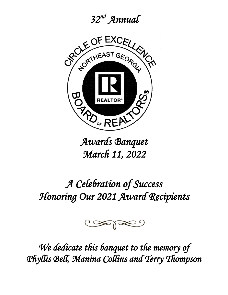*32nd Annual* 



*Awards Banquet March 11, 2022* 

# *A Celebration of Success Honoring Our 2021 Award Recipients*



*We dedicate this banquet to the memory of Phyllis Bell, Manina Collins and Terry Thompson*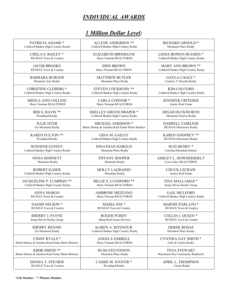# *INDIVIDUAL AWARDS*

| PATRICIA ADAMS *                                 | <b>ALLENE ANDERSON **</b>                        | RICHARD ARNOLD *                    |
|--------------------------------------------------|--------------------------------------------------|-------------------------------------|
| Coldwell Banker High Country Realty              | Coldwell Banker High Country Realty              | Mountain Place Realty               |
| <b>CHELA S. BAILEY *</b>                         | ELIZABETH BIRNBAUM                               | LINDA BOWEN-HUGHES <sup>*</sup>     |
| RE/MAX Town & Country                            | Harry Norman REALTORS®                           | Coldwell Banker High Country Realty |
| <b>JACOB BROOKS</b>                              | <b>ERIN BROWN</b>                                | MARY ANN BROWN **                   |
| RE/MAX Town & Country                            | Harry Norman REALTORS®                           | Coldwell Banker High Country Realty |
| <b>BARBARA BURGER</b>                            | <b>MATTHEW BUTLER</b>                            | <b>GAYLA CAGLE *</b>                |
| Mountain Aire Realty                             | Mountain Place Realty                            | Century 21 Results Realty           |
| <b>CHRISTINE CLEBERG *</b>                       | <b>STEVEN COCKBURN **</b>                        | <b>KIM COLCORD</b>                  |
| Coldwell Banker High Country Realty              | Coldwell Banker High Country Realty              | Coldwell Banker High Country Realty |
| <b>SHEILA ANN COLLINS</b>                        | <b>CARLA CONNOR *</b>                            | <b>JENNIFER CRITESER</b>            |
| Harry Norman REALTORS®                           | Harry Norman REALTORS®                           | Ansley Real Estate                  |
| IRIS S. DAVIS **                                 | <b>SHELLEY GROTH DRAPER *</b>                    | <b>DINAH DUCKWORTH</b>              |
| Woodland Realty                                  | Coldwell Banker High Country Realty              | Mountain Sunrise Realty             |
| <b>JULIE DYER</b>                                | MICHAEL EMERSON *                                | <b>DARRELL FAIRLESS</b>             |
| Tru Mountain Realty                              | Better Homes & Gardens Real Estate Metro Brokers | RE/MAX Hiawassee Realty             |
| <b>KAREN FULTON **</b>                           | <b>GINA M. GAILEY</b>                            | <b>KAREN GODFREY **</b>             |
| Woodland Realty                                  | Coldwell Banker High Country Realty              | RE/MAX Hiawassee Realty             |
| <b>JENNIFER GUFFEY</b>                           | <b>JONATHAN HARGUS</b>                           | <b>SUZI HENRY *</b>                 |
| Coldwell Banker High Country Realty              | Mountain Place Realty                            | Carolina Mountain Homes             |
| NONA HODNETT                                     | <b>TIFFANY HOOPER</b>                            | ASHLEY L. HOWDERSHELT               |
| Mountain Realty                                  | Mountain Realty                                  | Crye-Leike, REALTORS®               |
| <b>ROBERT KASER</b>                              | <b>MOLLY LAGRASSO</b>                            | <b>CHUCK LECRAW</b>                 |
| Coldwell Banker High Country Realty              | Mountain Realty                                  | Ansley Real Estate                  |
| JACQUELINE P. LUMPKIN **                         | <b>BILLIE S. LUNSFORD **</b>                     | TINA MALLAMAS *                     |
| Coldwell Banker High Country Realty              | Harry Norman REALTORS®                           | Sonja Silvers Realty Group          |
| <b>ANNA MARGO</b>                                | <b>AMBROSE MEZZANO</b>                           | <b>GAIL MULFORD</b>                 |
| RE/MAX Town & Country                            | Harry Norman REALTORS®                           | Coldwell Banker High Country Realty |
| NAOMI NELSON *                                   | MARIA NIX *                                      | <b>MARNIE PARLATO*</b>              |
| RE/MAX Town & Country                            | RE/MAX Town & Country                            | RE/MAX Town & Country               |
| <b>SHERRY J. PAYNE</b>                           | <b>ROGER PURDY</b>                               | <b>COLLIN J. QUEEN *</b>            |
| Sonja Silvers Realty Group                       | Sharp Real Estate Services                       | RE/MAX Town & Country               |
| <b>SHERRY RENNIE</b>                             | <b>KAREN A. RITENOUR</b>                         | <b>DEREK ROSAS</b>                  |
| Tru Mountain Realty                              | Coldwell Banker High Country Realty              | Mountain Place Realty               |
| CINDY RYALS *                                    | ANGELA SARRELL                                   | CYNTHIA GAY SMITH *                 |
| Better Homes & Gardens Real Estate Metro Brokers | Harry Norman REALTORS®                           | Grits & Tackle Realty               |
| KIRBI SMITH **                                   | <b>RUSS STEVENSON</b>                            | <b>TENA STEWART</b>                 |
| Better Homes & Gardens Real Estate Metro Brokers | Mountain Place Realty                            | Maximum One Community Realtors®     |
| <b>DONNA T. STICHER</b>                          | <b>CASSIE M. STOVER *</b>                        | <b>APRIL L. THOMPSON</b>            |
| RE/MAX Town & Country                            | Woodland Realty                                  | <b>Union Realty</b>                 |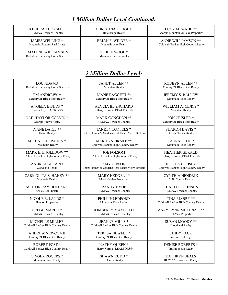KENDRA THORSELL RE/MAX Town & Country

CHRISTINA L. TIGHE Blue Ridge Realty

LUCY M. WADE \*\* Georgia Mountain & Lake Properties

ANNE WILLIAMSON \*\* Coldwell Banker High Country Realty

JAMES WELLING \* Mountain Streams Real Estate

EMALENE WILLIAMSON Berkshire Hathaway Home Services BRIAN F. WILDER \* Mountain Aire Realty

DEBBIE WOODY Mountain Sunrise Realty

| <b>LOU ADAMS</b>                    | JANET ALLEN **                                   | ROBBYN ALLEN **                     |
|-------------------------------------|--------------------------------------------------|-------------------------------------|
| Berkshire Hathaway Home Services    | Mountain Realty                                  | Century 21 Black Bear Realty        |
| <b>JIM ANDREWS *</b>                | <b>DIANE BAGGETT **</b>                          | <b>JEREMY S. BALLEW</b>             |
| Century 21 Black Bear Realty        | Century 21 Black Bear Realty                     | Mountain Place Realty               |
| <b>ANGELA BISHOP *</b>              | <b>ALYCIA BLANCHARD</b>                          | WILLIAM A. CEJKA *                  |
| Crye-Leike, REALTORS®               | Harry Norman REALTORS®                           | Mountain Realty                     |
| <b>GAIL TAYLOR COLVIN *</b>         | MARK CONGDON **                                  | <b>JON CRISLER *</b>                |
| Georgia Views Realty                | RE/MAX Town & Country                            | Century 21 Black Bear Realty        |
| <b>DIANE DAIGE **</b>               | <b>JANKEN DANIELS *</b>                          | <b>SHARON DAVIS *</b>               |
| <b>Union Realty</b>                 | Better Homes & Gardens Real Estate Metro Brokers | Grits & Tackle Realty               |
| MICHAEL DEPAOLA *                   | <b>MARILYN DRAKE **</b>                          | <b>LAURA ELLIS *</b>                |
| <b>Mountain Realty</b>              | Coldwell Banker High Country Realty              | Mountain Place Realty               |
| MARK E. ENGLEDOW **                 | <b>JOE FOLSOM</b>                                | <b>HEATHER GERALD</b>               |
| Coldwell Banker High Country Realty | Coldwell Banker High Country Realty              | Harry Norman REALTORS®              |
| <b>ANDREA GERARD</b>                | <b>AMY GIBSON</b>                                | <b>JESSICA GODSEY</b>               |
| Woodland Realty                     | Better Homes & Gardens Real Estate Metro Brokers | Coldwell Banker High Country Realty |
| <b>CARMOLITA S. HANEY **</b>        | <b>MARY HEDDEN **</b>                            | <b>CYNTHIA HENDRIX</b>              |
| Mountain Realty                     | Mary Hedden Properties                           | Solid Source Realty                 |
| <b>ASHTON RAY HOLLAND</b>           | <b>RANDY HYDE</b>                                | <b>CHARLES JOHNSON</b>              |
| Ansley Real Estate                  | RE/MAX Town & Country                            | RE/MAX Town & Country               |
| NICOLE R. LANDS *                   | PHILLIP LEDFORD                                  | TINA MABRY **                       |
| Hannon Properties                   | Mountain Place Realty                            | Coldwell Banker High Country Realty |
| <b>GREGG MARCO*</b>                 | KIMBERLY MAYFIELD                                | MARY LYNN MCKENZIE **               |
| RE/MAX Town & Country               | RE/MAX Town & Country                            | <b>Real-Vest Properties</b>         |
| <b>MICHELLE MILLER</b>              | <b>JEANNE MILLS *</b>                            | <b>SUSAN MOODY **</b>               |
| Coldwell Banker High Country Realty | Coldwell Banker High Country Realty              | <b>Woodland Realty</b>              |
| <b>ANDREW NEWCOMB</b>               | TERESA NEWELL *                                  | <b>CINDY PACK</b>                   |
| Century 21 Black Bear Realty        | Century 21 Black Bear Realty                     | Anchor Brokerage                    |
| <b>ROBERT POST *</b>                | KATHY QUEEN *                                    | <b>DENISE ROBERTS *</b>             |
| Coldwell Banker High Country Realty | Harry Norman REALTORS®                           | Tru Mountain Realty                 |
| <b>GINGER ROGERS *</b>              | <b>SHAWN RUDD*</b>                               | <b>KATHRYN SEALS</b>                |
| Mountain Place Realty               | <b>Union Realty</b>                              | RE/MAX Hiawassee Realty             |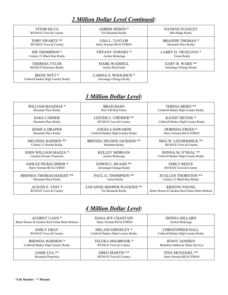| <b>VITOR SILVA</b>                                        | AMBER SISSON <sup>*</sup>                                      | <b>NATHAN STANLEY</b>           |
|-----------------------------------------------------------|----------------------------------------------------------------|---------------------------------|
| RE/MAX Town & Country                                     | Tru Mountain Realty                                            | <b>Blue Ridge Realty</b>        |
| TOBY SWARTZ **                                            | LISA L. TAYLOR                                                 | <b>BRANDIE THOMAS*</b>          |
| RE/MAX Town & Country                                     | Harry Norman REALTORS®                                         | Mountain Place Realty           |
| DIP THOMPSON *                                            | TIFFANY TOWERY *                                               | LARRY D. TRUELOVE *             |
| Century 21 Black Bear Realty                              | Anchor Brokerage                                               | <b>Union Realty</b>             |
| <b>THERESA TYLER</b>                                      | <b>MARK WADDELL</b>                                            | GARY R. WARD **                 |
| RE/MAX Hiawassee Realty                                   | Ansley Real Estate                                             | <b>Advantage Chatuge Realty</b> |
| <b>IRENE WITT*</b><br>Coldwell Banker High Country Realty | <b>CARINA S. WOOLRICH *</b><br><b>Advantage Chatuge Realty</b> |                                 |

#### *3 Million Dollar Level:*

| WILLIAM BANZHAF*            | <b>BRAD BASO</b>                    | <b>TERESA BIDEZ **</b>                           |
|-----------------------------|-------------------------------------|--------------------------------------------------|
| Mountain Place Realty       | <b>Real Tall Real Estate</b>        | Coldwell Banker High Country Realty              |
| <b>SARA CARDER</b>          | <b>LESTER C. CHESSER **</b>         | <b>KATHY DEVINE *</b>                            |
| Mountain Place Realty       | RE/MAX Town & Country               | Coldwell Banker High Country Realty              |
| <b>JESSICA DRAPER</b>       | ANGELA EDWARDS                      | DORINDA FREED <sup>*</sup>                       |
| Mountain Place Realty       | Coldwell Banker High Country Realty | Harry Norman REALTORS®                           |
| <b>MELINDA HADDEN **</b>    | <b>BRENDA NELSON JACKSON **</b>     | <b>MEG W. LOUDERMILK **</b>                      |
| Century 21 Results Realty   | Mountain Realty                     | RE/MAX Town & Country                            |
| JOHN WILLIAM MAZZA *        | <b>KELLEY MORGAN</b>                | DONNA M. O'NEAL **                               |
| Carolina Premier Properties | Anchor Brokerage                    | Coldwell Banker High Country Realty              |
| <b>ASHLEE PICKELSIMER *</b> | <b>EDWIN C. REAMS **</b>            | <b>EMILY REECE</b>                               |
| Harry Norman REALTORS®      | <b>Advantage Chatuge Realty</b>     | RE/MAX Town & Country                            |
| RHONDA THOMAS-HAIGHT **     | PAUL G. THOMPSON **                 | <b>JO ELLEN THORNTON **</b>                      |
| Mountain Place Realty       | <b>Union Realty</b>                 | Century 21 Black Bear Realty                     |
| AUSTIN E. VEST *            | <b>LOUANNE HOOPER WATKINS **</b>    | <b>KRISTIN YOUNG</b>                             |
| RE/MAX Town & Country       | Tru Mountain Realty                 | Better Homes & Gardens Real Estate Metro Brokers |

| AUDREY CANN *                                    | DANA JOY CHASTAIN                   | DONNA DILLARD                       |
|--------------------------------------------------|-------------------------------------|-------------------------------------|
| Better Homes & Gardens Real Estate Metro Brokers | Harry Norman REALTORS®              | Anchor Brokerage                    |
| <b>EMILY GRAY</b>                                | <b>MELANI GRINDLEY *</b>            | <b>CHRISTOPHER HALL</b>             |
| RE/MAX Town & Country                            | Coldwell Banker High Country Realty | Coldwell Banker High Country Realty |
| <b>RHONDA HARMON *</b>                           | TELEKA HOLBROOK *                   | <b>JENNY JANSSEN</b>                |
| Coldwell Banker High Country Realty              | RE/MAX Town & Country               | Berkshire Hathaway Home Services    |
| JAMIE LEA **                                     | <b>GREG MARTIN **</b>               | TINA MCDANIEL **                    |
| <b>Mountain Properties</b>                       | RE/MAX Town & Country               | Harry Norman REALTORS®              |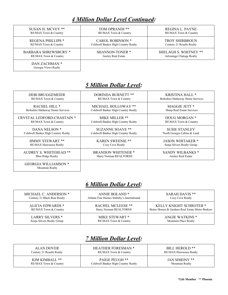| SUSAN H. MCVEY **                     | TOM OPRANDI **                      | REGINA L. PAYNE                 |
|---------------------------------------|-------------------------------------|---------------------------------|
| RE/MAX Town & Country                 | RE/MAX Town & Country               | RE/MAX Town & Country           |
| <b>REGENA PHILLIPS *</b>              | <b>CAROL ROBINSON *</b>             | <b>TROY SHIRBROUN</b>           |
| RE/MAX Town & Country                 | Coldwell Banker High Country Realty | Century 21 Results Realty       |
| <b>BARBARA SHREWSBURY *</b>           | <b>SHANNON TONER *</b>              | <b>SHELAGH S. WHITNEY **</b>    |
| <b>RE/MAX Town &amp; Country</b>      | Ansley Real Estate                  | <b>Advantage Chatuge Realty</b> |
| DAN ZACHMAN *<br>Georgia Views Realty |                                     |                                 |

#### *5 Million Dollar Level:*

| <b>DEBI BRUGGEMEIER</b>             | <b>DORINDA BURNETT **</b>           | KRISTINA HALL *                  |
|-------------------------------------|-------------------------------------|----------------------------------|
| RE/MAX Town & Country               | RE/MAX Town & Country               | Berkshire Hathaway Home Services |
| RACHEL HILL <sup>*</sup>            | MICHAEL HOLLOWAY **                 | MAGGIE JETT <sup>*</sup>         |
| Berkshire Hathaway Home Services    | Coldwell Banker High Country Realty | Sharp Real Estate Services       |
| CRYSTAL LEDFORD-CHASTAIN *          | MIKE MILLER **                      | DOUG MORGAN *                    |
| RE/MAX Town & Country               | Coldwell Banker High Country Realty | <b>RE/MAX Town &amp; Country</b> |
| DANA NELSON <sup>*</sup>            | <b>SUZANNE SOAVE **</b>             | <b>SUSIE STANLEY</b>             |
| Coldwell Banker High Country Realty | Coldwell Banker High Country Realty | North Georgia Cabins & Land      |
| <b>JIMMY STEWART **</b>             | <b>KAREN SWEENIE **</b>             | <b>JASON WHITAKER *</b>          |
| <b>RE/MAX Hiawassee Realty</b>      | Cozy Cove Realty                    | Sonja Silvers Realty Group       |
| <b>AUDREY S. WHITEHEAD **</b>       | <b>BRANDON WHITENER *</b>           | SANDY WILBANKS *                 |
| <b>Blue Ridge Realty</b>            | Harry Norman REALTORS®              | Ansley Real Estate               |
| GEORGIA WILLIAMSON *                |                                     |                                  |

### *6 Million Dollar Level:*

Mountain Realty

| MICHAEL C. ANDERSON *        | ANNIE BOLAND <sup>*</sup>                  | <b>SARAH DAVIS **</b>                            |
|------------------------------|--------------------------------------------|--------------------------------------------------|
| Century 21 Black Bear Realty | Atlanta Fine Homes Sotheby's International | Cozy Cove Realty                                 |
| <b>ALICIA EDWARDS *</b>      | <b>RACHEL MCLEESE **</b>                   | <b>KELLY KNIGHT SCHROTER *</b>                   |
| RE/MAX Town & Country        | Harry Norman REALTORS®                     | Better Homes & Gardens Real Estate Metro Brokers |
| <b>LARRY SILVERS *</b>       | MIKE STEWART *                             | <b>ANGIE WATKINS *</b>                           |
| Sonja Silvers Realty Group   | RE/MAX Town & Country                      | Mountain Place Realty                            |

| ALAN DOVER                | <b>HEATHER FORESMAN *</b>           | BILL HEROLD **                 |
|---------------------------|-------------------------------------|--------------------------------|
| Century 21 Results Realty | RE/MAX Town & Country               | <b>RE/MAX Hiawassee Realty</b> |
| KIM KIMBALL **            | <b>PAIGE PEUGH **</b>               | JAN SIMONY **                  |
| RE/MAX Town & Country     | Coldwell Banker High Country Realty | Mountain Realty                |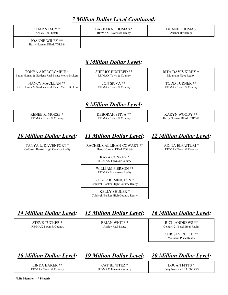CHAR STACY \* Ansley Real Estate

BARBARA THOMAS \* RE/MAX Hiawassee Realty

DUANE THOMAS Anchor Brokerage

JOANNE WILEY \*\* Harry Norman REALTORS®

#### *8 Million Dollar Level:*

| TONYA ABERCROMBIE *                              | <b>SHERRY BUSTEED **</b> | RITA DAVIS KIRBY *    |
|--------------------------------------------------|--------------------------|-----------------------|
| Better Homes & Gardens Real Estate Metro Brokers | RE/MAX Town & Country    | Mountain Place Realty |
| NANCY MACLEAN **                                 | JON SPIVA $**$           | TODD TURNER **        |
| Better Homes & Gardens Real Estate Metro Brokers | RE/MAX Town & Country    | RE/MAX Town & Country |

#### *9 Million Dollar Level:*

| $MORSE*$<br>2 EN E E <i>R</i> | <b>DEROR AH SPIVA **</b> | $W\cap\cap V**$<br>ARYN |
|-------------------------------|--------------------------|-------------------------|
| RE/MAX Town & Country         | RE/MAX Town & Country    | Harry Norman REALTORS®  |

#### *10 Million Dollar Level: 11 Million Dollar Level: 12 Million Dollar Level:*

TANYA L. DAVENPORT \* Coldwell Banker High Country Realty RACHEL CALLIHAN-COWART \*\* Harry Norman REALTORS®

ADINA ELFAITURI \*

KARA CONREY \* RE/MAX Town & Country

WILLIAM PIERSON \*\* RE/MAX Hiawassee Realty

ROGER REMINGTON \* Coldwell Banker High Country Realty

KELLY SHULER \* Coldwell Banker High Country Realty RE/MAX Town & Country

# *14 Million Dollar Level: 15 Million Dollar Level: 16 Million Dollar Level:*

| STEVE TUCKER *                   | <b>BRIAN WHITE *</b> | <b>RICK ANDREWS **</b>       |
|----------------------------------|----------------------|------------------------------|
| <b>RE/MAX Town &amp; Country</b> | Ansley Real Estate   | Century 21 Black Bear Realty |
|                                  |                      | CHRISTY REECE **             |

CHRISTY REECE \*\* Mountain Place Realty

*18 Million Dollar Level: 19 Million Dollar Level: 20 Million Dollar Level:*

LINDA BAKER \*\* RE/MAX Town & Country

CAT BENITEZ \* RE/MAX Town & Country

LOGAN FITTS \* Harry Norman REALTORS®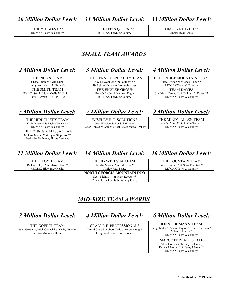*26 Million Dollar Level: 31 Million Dollar Level: 33 Million Dollar Level:*

CINDY T. WEST \*\* RE/MAX Town & Country JULIE FITTS QUEEN \*\* RE/MAX Town & Country

KIM L. KNUTZEN \*\* Ansley Real Estate

#### *SMALL TEAM AWARDS*

#### *2 Million Dollar Level: 3 Million Dollar Level: 4 Million Dollar Level:*

THE NUNN TEAM Chase Nunn & Kylie Nunn Harry Norman REALTORS® THE SMITH TEAM Blair C. Smith \* & Michelle M. Smith \* Harry Norman REALTORS®

SOUTHERN HOSPITALITY TEAM Kayla Bowen & Kim Southern \*\* Berkshire Hathaway Home Services THE ENGLER GROUP Hannah Engler & Kamron Engler RE/MAX Town & Country

BLUE RIDGE MOUNTAIN TEAM Dora Bryson & Michael Lacy \*\* RE/MAX Town & Country TEAM DAVES Cynthia A. Daves \*\* & William S. Daves \*\* RE/MAX Town & Country

THE HIDDEN KEY TEAM Kelly Payne \* & Taylor Weaver \* RE/MAX Town & Country THE LYNN & MELISSA TEAM Melissa Maxie \*\* & Lynn Stephens \*\* Berkshire Hathaway Home Services

WISELEY R.E. SOLUTIONS Jean Wiseley & Kendall Wiseley Better Homes & Gardens Real Estate Metro Brokers

*5 Million Dollar Level: 7 Million Dollar Level: 9 Million Dollar Level:*

THE MINDY ALLEN TEAM Mindy Allen \*\* & Ria Ledbetter \* RE/MAX Town & Country

#### *11 Million Dollar Level: 14 Million Dollar Level: 16 Million Dollar Level:*

THE LLOYD TEAM Richard Lloyd \* & Missy Lloyd \* RE/MAX Hiawassee Realty

JULIE-N-TEESHA TEAM Teesha Morgan \* & Julie Ray \* Ansley Real Estate NORTH GEORGIA MOUNTAIN DUO Scott Nichols \*\* & Mark Reeves \*\*

THE FOUNTAIN TEAM Julie Fountain \* & Scott Fountain \* RE/MAX Town & Country

*MID-SIZE TEAM AWARDS*

Coldwell Banker High Country Realty

THE GOEBEL TEAM Jane Goebel \*, Mick Goebel \* & Kathy Varney Carolina Mountain Homes

CRAIG R.E. PROFESSIONALS David Craig \*, Robert Craig & Roger Craig \* Craig Real Estate Professionals

*3 Million Dollar Level: 4 Million Dollar Level: 6 Million Dollar Level:*

JOHN THOMAS & TEAM Greg Taylor \*, Vickie Taylor \*, Brian Thurman \* & John Thomas \* RE/MAX Town & Country

> MARCOTT REAL ESTATE Alton Coleman, Tammy Coleman, Dennis Marcott \*, & Jenny Marcott \* RE/MAX Town & Country